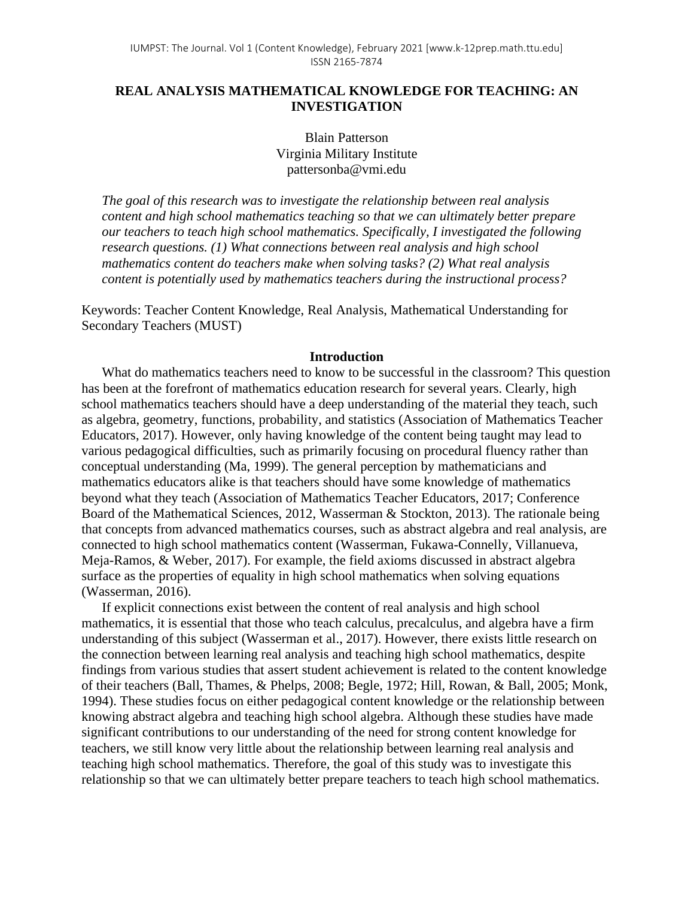# **REAL ANALYSIS MATHEMATICAL KNOWLEDGE FOR TEACHING: AN INVESTIGATION**

Blain Patterson Virginia Military Institute pattersonba@vmi.edu

*The goal of this research was to investigate the relationship between real analysis content and high school mathematics teaching so that we can ultimately better prepare our teachers to teach high school mathematics. Specifically, I investigated the following research questions. (1) What connections between real analysis and high school mathematics content do teachers make when solving tasks? (2) What real analysis content is potentially used by mathematics teachers during the instructional process?*

Keywords: Teacher Content Knowledge, Real Analysis, Mathematical Understanding for Secondary Teachers (MUST)

# **Introduction**

What do mathematics teachers need to know to be successful in the classroom? This question has been at the forefront of mathematics education research for several years. Clearly, high school mathematics teachers should have a deep understanding of the material they teach, such as algebra, geometry, functions, probability, and statistics (Association of Mathematics Teacher Educators, 2017). However, only having knowledge of the content being taught may lead to various pedagogical difficulties, such as primarily focusing on procedural fluency rather than conceptual understanding (Ma, 1999). The general perception by mathematicians and mathematics educators alike is that teachers should have some knowledge of mathematics beyond what they teach (Association of Mathematics Teacher Educators, 2017; Conference Board of the Mathematical Sciences, 2012, Wasserman & Stockton, 2013). The rationale being that concepts from advanced mathematics courses, such as abstract algebra and real analysis, are connected to high school mathematics content (Wasserman, Fukawa-Connelly, Villanueva, Meja-Ramos, & Weber, 2017). For example, the field axioms discussed in abstract algebra surface as the properties of equality in high school mathematics when solving equations (Wasserman, 2016).

If explicit connections exist between the content of real analysis and high school mathematics, it is essential that those who teach calculus, precalculus, and algebra have a firm understanding of this subject (Wasserman et al., 2017). However, there exists little research on the connection between learning real analysis and teaching high school mathematics, despite findings from various studies that assert student achievement is related to the content knowledge of their teachers (Ball, Thames, & Phelps, 2008; Begle, 1972; Hill, Rowan, & Ball, 2005; Monk, 1994). These studies focus on either pedagogical content knowledge or the relationship between knowing abstract algebra and teaching high school algebra. Although these studies have made significant contributions to our understanding of the need for strong content knowledge for teachers, we still know very little about the relationship between learning real analysis and teaching high school mathematics. Therefore, the goal of this study was to investigate this relationship so that we can ultimately better prepare teachers to teach high school mathematics.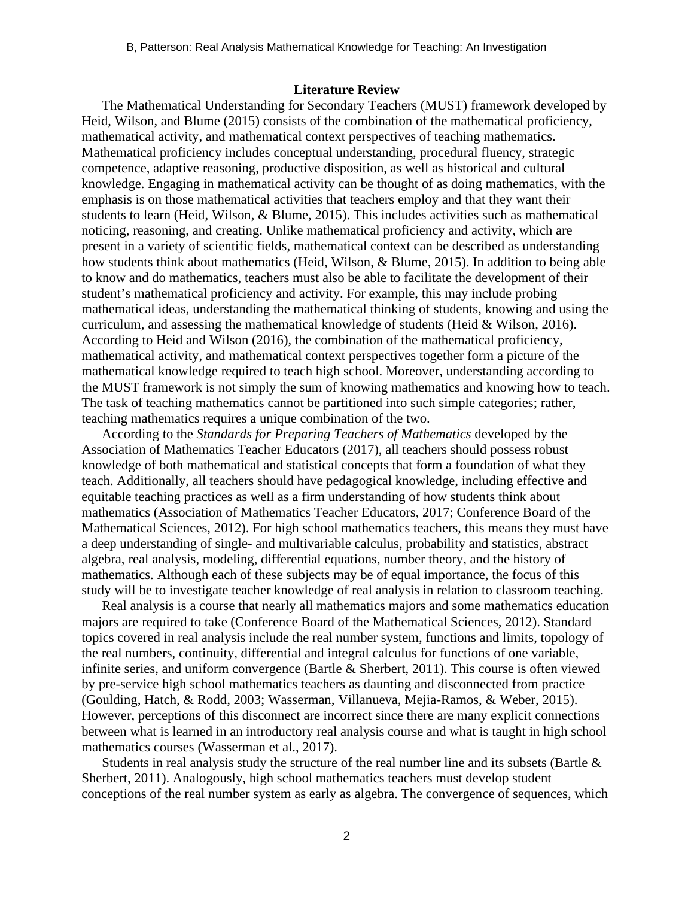### **Literature Review**

The Mathematical Understanding for Secondary Teachers (MUST) framework developed by Heid, Wilson, and Blume (2015) consists of the combination of the mathematical proficiency, mathematical activity, and mathematical context perspectives of teaching mathematics. Mathematical proficiency includes conceptual understanding, procedural fluency, strategic competence, adaptive reasoning, productive disposition, as well as historical and cultural knowledge. Engaging in mathematical activity can be thought of as doing mathematics, with the emphasis is on those mathematical activities that teachers employ and that they want their students to learn (Heid, Wilson, & Blume, 2015). This includes activities such as mathematical noticing, reasoning, and creating. Unlike mathematical proficiency and activity, which are present in a variety of scientific fields, mathematical context can be described as understanding how students think about mathematics (Heid, Wilson, & Blume, 2015). In addition to being able to know and do mathematics, teachers must also be able to facilitate the development of their student's mathematical proficiency and activity. For example, this may include probing mathematical ideas, understanding the mathematical thinking of students, knowing and using the curriculum, and assessing the mathematical knowledge of students (Heid & Wilson, 2016). According to Heid and Wilson (2016), the combination of the mathematical proficiency, mathematical activity, and mathematical context perspectives together form a picture of the mathematical knowledge required to teach high school. Moreover, understanding according to the MUST framework is not simply the sum of knowing mathematics and knowing how to teach. The task of teaching mathematics cannot be partitioned into such simple categories; rather, teaching mathematics requires a unique combination of the two.

According to the *Standards for Preparing Teachers of Mathematics* developed by the Association of Mathematics Teacher Educators (2017), all teachers should possess robust knowledge of both mathematical and statistical concepts that form a foundation of what they teach. Additionally, all teachers should have pedagogical knowledge, including effective and equitable teaching practices as well as a firm understanding of how students think about mathematics (Association of Mathematics Teacher Educators, 2017; Conference Board of the Mathematical Sciences, 2012). For high school mathematics teachers, this means they must have a deep understanding of single- and multivariable calculus, probability and statistics, abstract algebra, real analysis, modeling, differential equations, number theory, and the history of mathematics. Although each of these subjects may be of equal importance, the focus of this study will be to investigate teacher knowledge of real analysis in relation to classroom teaching.

Real analysis is a course that nearly all mathematics majors and some mathematics education majors are required to take (Conference Board of the Mathematical Sciences, 2012). Standard topics covered in real analysis include the real number system, functions and limits, topology of the real numbers, continuity, differential and integral calculus for functions of one variable, infinite series, and uniform convergence (Bartle & Sherbert, 2011). This course is often viewed by pre-service high school mathematics teachers as daunting and disconnected from practice (Goulding, Hatch, & Rodd, 2003; Wasserman, Villanueva, Mejia-Ramos, & Weber, 2015). However, perceptions of this disconnect are incorrect since there are many explicit connections between what is learned in an introductory real analysis course and what is taught in high school mathematics courses (Wasserman et al., 2017).

Students in real analysis study the structure of the real number line and its subsets (Bartle  $\&$ Sherbert, 2011). Analogously, high school mathematics teachers must develop student conceptions of the real number system as early as algebra. The convergence of sequences, which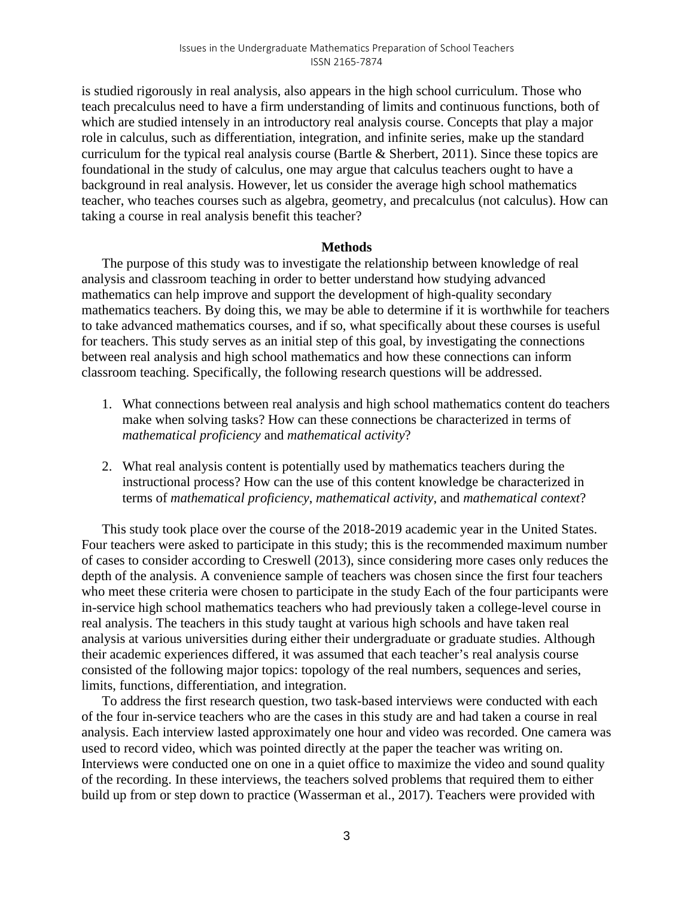is studied rigorously in real analysis, also appears in the high school curriculum. Those who teach precalculus need to have a firm understanding of limits and continuous functions, both of which are studied intensely in an introductory real analysis course. Concepts that play a major role in calculus, such as differentiation, integration, and infinite series, make up the standard curriculum for the typical real analysis course (Bartle & Sherbert, 2011). Since these topics are foundational in the study of calculus, one may argue that calculus teachers ought to have a background in real analysis. However, let us consider the average high school mathematics teacher, who teaches courses such as algebra, geometry, and precalculus (not calculus). How can taking a course in real analysis benefit this teacher?

# **Methods**

The purpose of this study was to investigate the relationship between knowledge of real analysis and classroom teaching in order to better understand how studying advanced mathematics can help improve and support the development of high-quality secondary mathematics teachers. By doing this, we may be able to determine if it is worthwhile for teachers to take advanced mathematics courses, and if so, what specifically about these courses is useful for teachers. This study serves as an initial step of this goal, by investigating the connections between real analysis and high school mathematics and how these connections can inform classroom teaching. Specifically, the following research questions will be addressed.

- 1. What connections between real analysis and high school mathematics content do teachers make when solving tasks? How can these connections be characterized in terms of *mathematical proficiency* and *mathematical activity*?
- 2. What real analysis content is potentially used by mathematics teachers during the instructional process? How can the use of this content knowledge be characterized in terms of *mathematical proficiency*, *mathematical activity*, and *mathematical context*?

This study took place over the course of the 2018-2019 academic year in the United States. Four teachers were asked to participate in this study; this is the recommended maximum number of cases to consider according to Creswell (2013), since considering more cases only reduces the depth of the analysis. A convenience sample of teachers was chosen since the first four teachers who meet these criteria were chosen to participate in the study Each of the four participants were in-service high school mathematics teachers who had previously taken a college-level course in real analysis. The teachers in this study taught at various high schools and have taken real analysis at various universities during either their undergraduate or graduate studies. Although their academic experiences differed, it was assumed that each teacher's real analysis course consisted of the following major topics: topology of the real numbers, sequences and series, limits, functions, differentiation, and integration.

To address the first research question, two task-based interviews were conducted with each of the four in-service teachers who are the cases in this study are and had taken a course in real analysis. Each interview lasted approximately one hour and video was recorded. One camera was used to record video, which was pointed directly at the paper the teacher was writing on. Interviews were conducted one on one in a quiet office to maximize the video and sound quality of the recording. In these interviews, the teachers solved problems that required them to either build up from or step down to practice (Wasserman et al., 2017). Teachers were provided with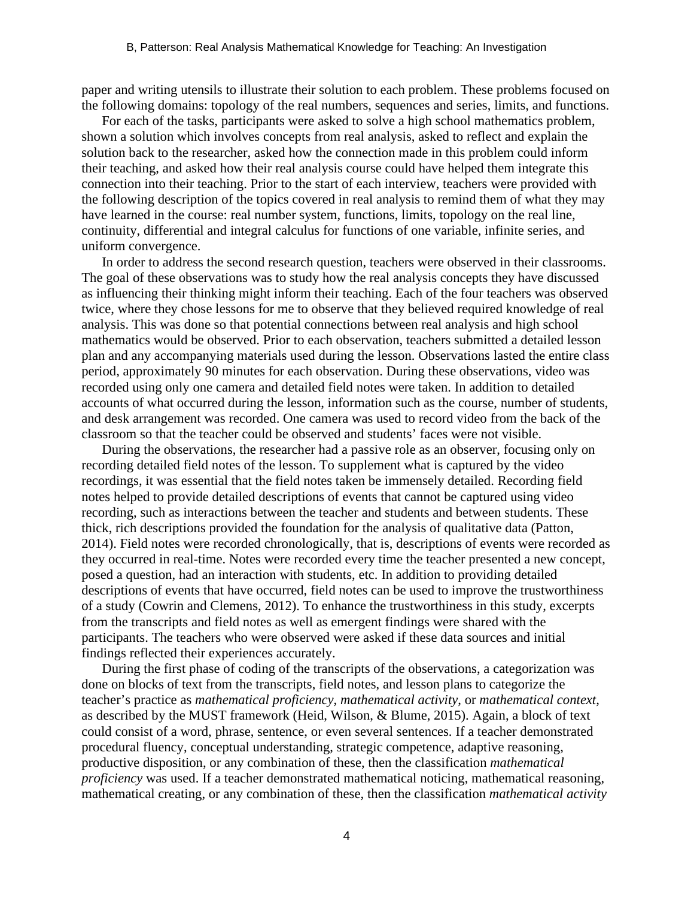paper and writing utensils to illustrate their solution to each problem. These problems focused on the following domains: topology of the real numbers, sequences and series, limits, and functions.

For each of the tasks, participants were asked to solve a high school mathematics problem, shown a solution which involves concepts from real analysis, asked to reflect and explain the solution back to the researcher, asked how the connection made in this problem could inform their teaching, and asked how their real analysis course could have helped them integrate this connection into their teaching. Prior to the start of each interview, teachers were provided with the following description of the topics covered in real analysis to remind them of what they may have learned in the course: real number system, functions, limits, topology on the real line, continuity, differential and integral calculus for functions of one variable, infinite series, and uniform convergence.

In order to address the second research question, teachers were observed in their classrooms. The goal of these observations was to study how the real analysis concepts they have discussed as influencing their thinking might inform their teaching. Each of the four teachers was observed twice, where they chose lessons for me to observe that they believed required knowledge of real analysis. This was done so that potential connections between real analysis and high school mathematics would be observed. Prior to each observation, teachers submitted a detailed lesson plan and any accompanying materials used during the lesson. Observations lasted the entire class period, approximately 90 minutes for each observation. During these observations, video was recorded using only one camera and detailed field notes were taken. In addition to detailed accounts of what occurred during the lesson, information such as the course, number of students, and desk arrangement was recorded. One camera was used to record video from the back of the classroom so that the teacher could be observed and students' faces were not visible.

During the observations, the researcher had a passive role as an observer, focusing only on recording detailed field notes of the lesson. To supplement what is captured by the video recordings, it was essential that the field notes taken be immensely detailed. Recording field notes helped to provide detailed descriptions of events that cannot be captured using video recording, such as interactions between the teacher and students and between students. These thick, rich descriptions provided the foundation for the analysis of qualitative data (Patton, 2014). Field notes were recorded chronologically, that is, descriptions of events were recorded as they occurred in real-time. Notes were recorded every time the teacher presented a new concept, posed a question, had an interaction with students, etc. In addition to providing detailed descriptions of events that have occurred, field notes can be used to improve the trustworthiness of a study (Cowrin and Clemens, 2012). To enhance the trustworthiness in this study, excerpts from the transcripts and field notes as well as emergent findings were shared with the participants. The teachers who were observed were asked if these data sources and initial findings reflected their experiences accurately.

During the first phase of coding of the transcripts of the observations, a categorization was done on blocks of text from the transcripts, field notes, and lesson plans to categorize the teacher's practice as *mathematical proficiency*, *mathematical activity*, or *mathematical context*, as described by the MUST framework (Heid, Wilson, & Blume, 2015). Again, a block of text could consist of a word, phrase, sentence, or even several sentences. If a teacher demonstrated procedural fluency, conceptual understanding, strategic competence, adaptive reasoning, productive disposition, or any combination of these, then the classification *mathematical proficiency* was used. If a teacher demonstrated mathematical noticing, mathematical reasoning, mathematical creating, or any combination of these, then the classification *mathematical activity*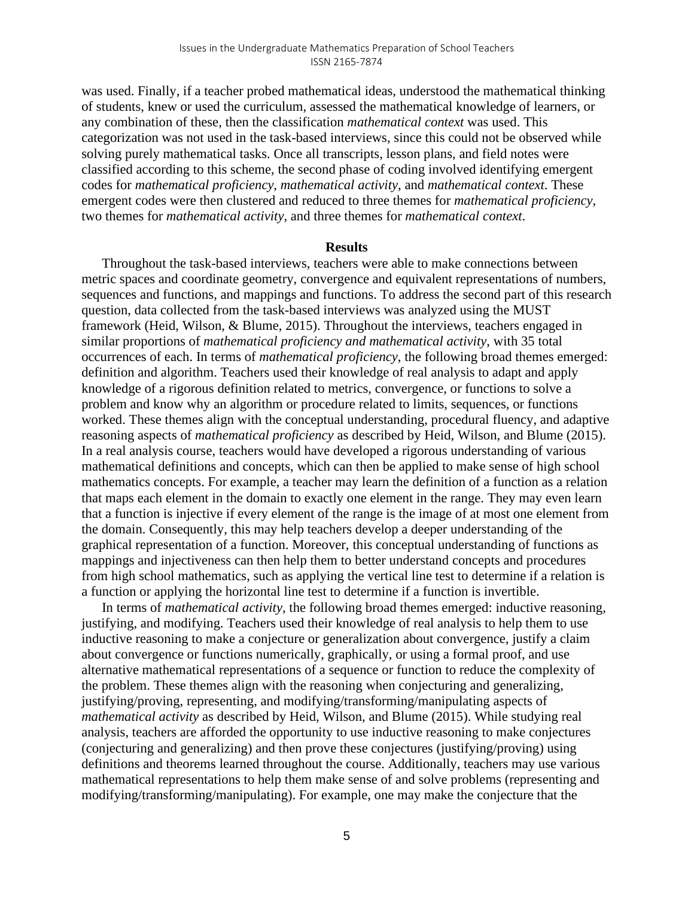was used. Finally, if a teacher probed mathematical ideas, understood the mathematical thinking of students, knew or used the curriculum, assessed the mathematical knowledge of learners, or any combination of these, then the classification *mathematical context* was used. This categorization was not used in the task-based interviews, since this could not be observed while solving purely mathematical tasks. Once all transcripts, lesson plans, and field notes were classified according to this scheme, the second phase of coding involved identifying emergent codes for *mathematical proficiency*, *mathematical activity*, and *mathematical context*. These emergent codes were then clustered and reduced to three themes for *mathematical proficiency*, two themes for *mathematical activity*, and three themes for *mathematical context*.

#### **Results**

Throughout the task-based interviews, teachers were able to make connections between metric spaces and coordinate geometry, convergence and equivalent representations of numbers, sequences and functions, and mappings and functions. To address the second part of this research question, data collected from the task-based interviews was analyzed using the MUST framework (Heid, Wilson, & Blume, 2015). Throughout the interviews, teachers engaged in similar proportions of *mathematical proficiency and mathematical activity*, with 35 total occurrences of each. In terms of *mathematical proficiency*, the following broad themes emerged: definition and algorithm. Teachers used their knowledge of real analysis to adapt and apply knowledge of a rigorous definition related to metrics, convergence, or functions to solve a problem and know why an algorithm or procedure related to limits, sequences, or functions worked. These themes align with the conceptual understanding, procedural fluency, and adaptive reasoning aspects of *mathematical proficiency* as described by Heid, Wilson, and Blume (2015). In a real analysis course, teachers would have developed a rigorous understanding of various mathematical definitions and concepts, which can then be applied to make sense of high school mathematics concepts. For example, a teacher may learn the definition of a function as a relation that maps each element in the domain to exactly one element in the range. They may even learn that a function is injective if every element of the range is the image of at most one element from the domain. Consequently, this may help teachers develop a deeper understanding of the graphical representation of a function. Moreover, this conceptual understanding of functions as mappings and injectiveness can then help them to better understand concepts and procedures from high school mathematics, such as applying the vertical line test to determine if a relation is a function or applying the horizontal line test to determine if a function is invertible.

In terms of *mathematical activity*, the following broad themes emerged: inductive reasoning, justifying, and modifying. Teachers used their knowledge of real analysis to help them to use inductive reasoning to make a conjecture or generalization about convergence, justify a claim about convergence or functions numerically, graphically, or using a formal proof, and use alternative mathematical representations of a sequence or function to reduce the complexity of the problem. These themes align with the reasoning when conjecturing and generalizing, justifying/proving, representing, and modifying/transforming/manipulating aspects of *mathematical activity* as described by Heid, Wilson, and Blume (2015). While studying real analysis, teachers are afforded the opportunity to use inductive reasoning to make conjectures (conjecturing and generalizing) and then prove these conjectures (justifying/proving) using definitions and theorems learned throughout the course. Additionally, teachers may use various mathematical representations to help them make sense of and solve problems (representing and modifying/transforming/manipulating). For example, one may make the conjecture that the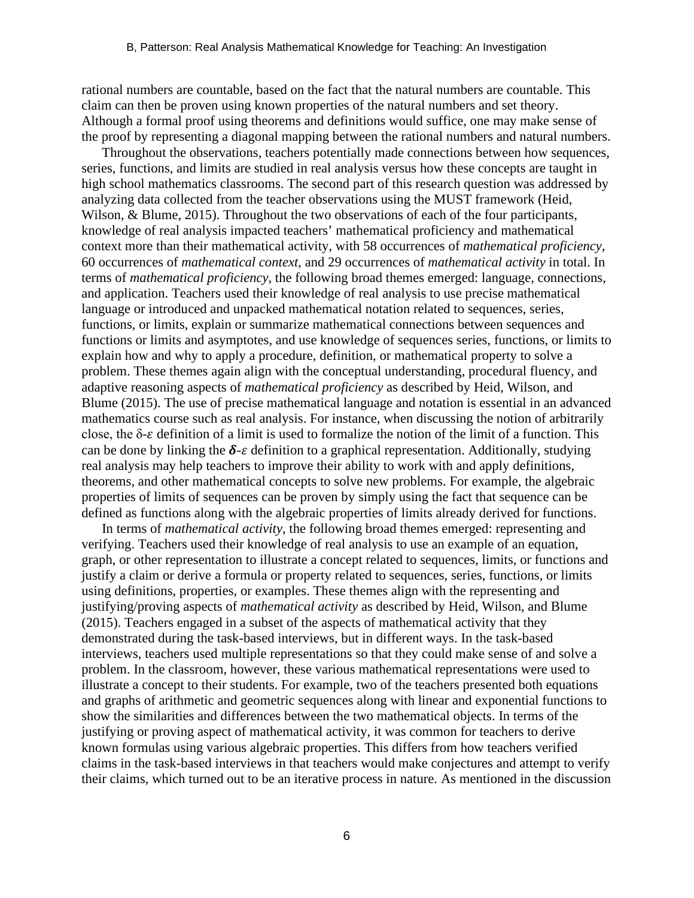rational numbers are countable, based on the fact that the natural numbers are countable. This claim can then be proven using known properties of the natural numbers and set theory. Although a formal proof using theorems and definitions would suffice, one may make sense of the proof by representing a diagonal mapping between the rational numbers and natural numbers.

Throughout the observations, teachers potentially made connections between how sequences, series, functions, and limits are studied in real analysis versus how these concepts are taught in high school mathematics classrooms. The second part of this research question was addressed by analyzing data collected from the teacher observations using the MUST framework (Heid, Wilson, & Blume, 2015). Throughout the two observations of each of the four participants, knowledge of real analysis impacted teachers' mathematical proficiency and mathematical context more than their mathematical activity, with 58 occurrences of *mathematical proficiency*, 60 occurrences of *mathematical context*, and 29 occurrences of *mathematical activity* in total. In terms of *mathematical proficiency*, the following broad themes emerged: language, connections, and application. Teachers used their knowledge of real analysis to use precise mathematical language or introduced and unpacked mathematical notation related to sequences, series, functions, or limits, explain or summarize mathematical connections between sequences and functions or limits and asymptotes, and use knowledge of sequences series, functions, or limits to explain how and why to apply a procedure, definition, or mathematical property to solve a problem. These themes again align with the conceptual understanding, procedural fluency, and adaptive reasoning aspects of *mathematical proficiency* as described by Heid, Wilson, and Blume (2015). The use of precise mathematical language and notation is essential in an advanced mathematics course such as real analysis. For instance, when discussing the notion of arbitrarily close, the  $\delta$ - $\varepsilon$  definition of a limit is used to formalize the notion of the limit of a function. This can be done by linking the  $\delta$ - $\varepsilon$  definition to a graphical representation. Additionally, studying real analysis may help teachers to improve their ability to work with and apply definitions, theorems, and other mathematical concepts to solve new problems. For example, the algebraic properties of limits of sequences can be proven by simply using the fact that sequence can be defined as functions along with the algebraic properties of limits already derived for functions.

In terms of *mathematical activity*, the following broad themes emerged: representing and verifying. Teachers used their knowledge of real analysis to use an example of an equation, graph, or other representation to illustrate a concept related to sequences, limits, or functions and justify a claim or derive a formula or property related to sequences, series, functions, or limits using definitions, properties, or examples. These themes align with the representing and justifying/proving aspects of *mathematical activity* as described by Heid, Wilson, and Blume (2015). Teachers engaged in a subset of the aspects of mathematical activity that they demonstrated during the task-based interviews, but in different ways. In the task-based interviews, teachers used multiple representations so that they could make sense of and solve a problem. In the classroom, however, these various mathematical representations were used to illustrate a concept to their students. For example, two of the teachers presented both equations and graphs of arithmetic and geometric sequences along with linear and exponential functions to show the similarities and differences between the two mathematical objects. In terms of the justifying or proving aspect of mathematical activity, it was common for teachers to derive known formulas using various algebraic properties. This differs from how teachers verified claims in the task-based interviews in that teachers would make conjectures and attempt to verify their claims, which turned out to be an iterative process in nature. As mentioned in the discussion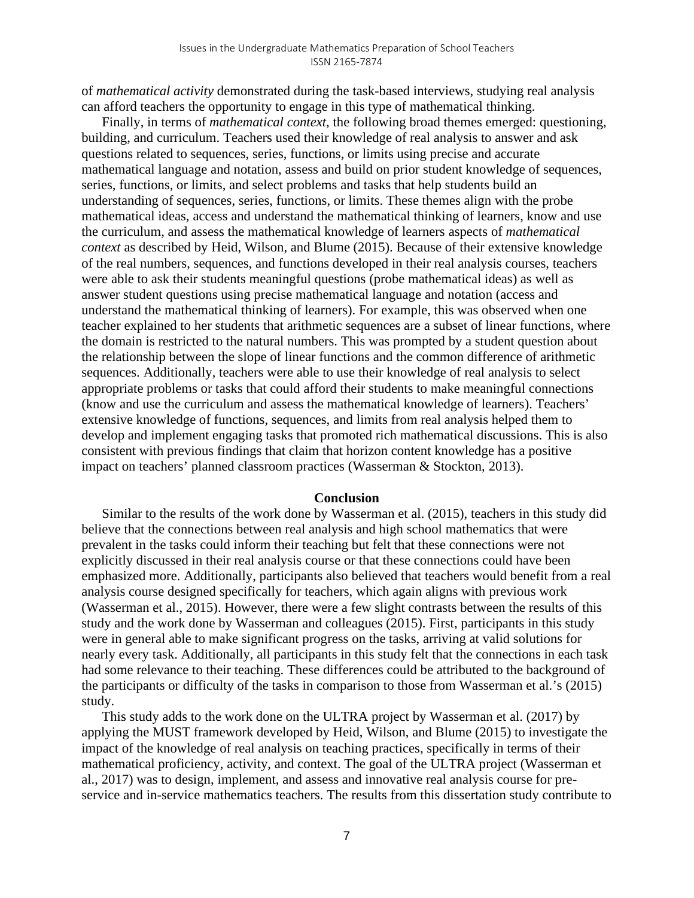of *mathematical activity* demonstrated during the task-based interviews, studying real analysis can afford teachers the opportunity to engage in this type of mathematical thinking.

Finally, in terms of *mathematical context*, the following broad themes emerged: questioning, building, and curriculum. Teachers used their knowledge of real analysis to answer and ask questions related to sequences, series, functions, or limits using precise and accurate mathematical language and notation, assess and build on prior student knowledge of sequences, series, functions, or limits, and select problems and tasks that help students build an understanding of sequences, series, functions, or limits. These themes align with the probe mathematical ideas, access and understand the mathematical thinking of learners, know and use the curriculum, and assess the mathematical knowledge of learners aspects of *mathematical context* as described by Heid, Wilson, and Blume (2015). Because of their extensive knowledge of the real numbers, sequences, and functions developed in their real analysis courses, teachers were able to ask their students meaningful questions (probe mathematical ideas) as well as answer student questions using precise mathematical language and notation (access and understand the mathematical thinking of learners). For example, this was observed when one teacher explained to her students that arithmetic sequences are a subset of linear functions, where the domain is restricted to the natural numbers. This was prompted by a student question about the relationship between the slope of linear functions and the common difference of arithmetic sequences. Additionally, teachers were able to use their knowledge of real analysis to select appropriate problems or tasks that could afford their students to make meaningful connections (know and use the curriculum and assess the mathematical knowledge of learners). Teachers' extensive knowledge of functions, sequences, and limits from real analysis helped them to develop and implement engaging tasks that promoted rich mathematical discussions. This is also consistent with previous findings that claim that horizon content knowledge has a positive impact on teachers' planned classroom practices (Wasserman & Stockton, 2013).

#### **Conclusion**

Similar to the results of the work done by Wasserman et al. (2015), teachers in this study did believe that the connections between real analysis and high school mathematics that were prevalent in the tasks could inform their teaching but felt that these connections were not explicitly discussed in their real analysis course or that these connections could have been emphasized more. Additionally, participants also believed that teachers would benefit from a real analysis course designed specifically for teachers, which again aligns with previous work (Wasserman et al., 2015). However, there were a few slight contrasts between the results of this study and the work done by Wasserman and colleagues (2015). First, participants in this study were in general able to make significant progress on the tasks, arriving at valid solutions for nearly every task. Additionally, all participants in this study felt that the connections in each task had some relevance to their teaching. These differences could be attributed to the background of the participants or difficulty of the tasks in comparison to those from Wasserman et al.'s (2015) study.

This study adds to the work done on the ULTRA project by Wasserman et al. (2017) by applying the MUST framework developed by Heid, Wilson, and Blume (2015) to investigate the impact of the knowledge of real analysis on teaching practices, specifically in terms of their mathematical proficiency, activity, and context. The goal of the ULTRA project (Wasserman et al., 2017) was to design, implement, and assess and innovative real analysis course for preservice and in-service mathematics teachers. The results from this dissertation study contribute to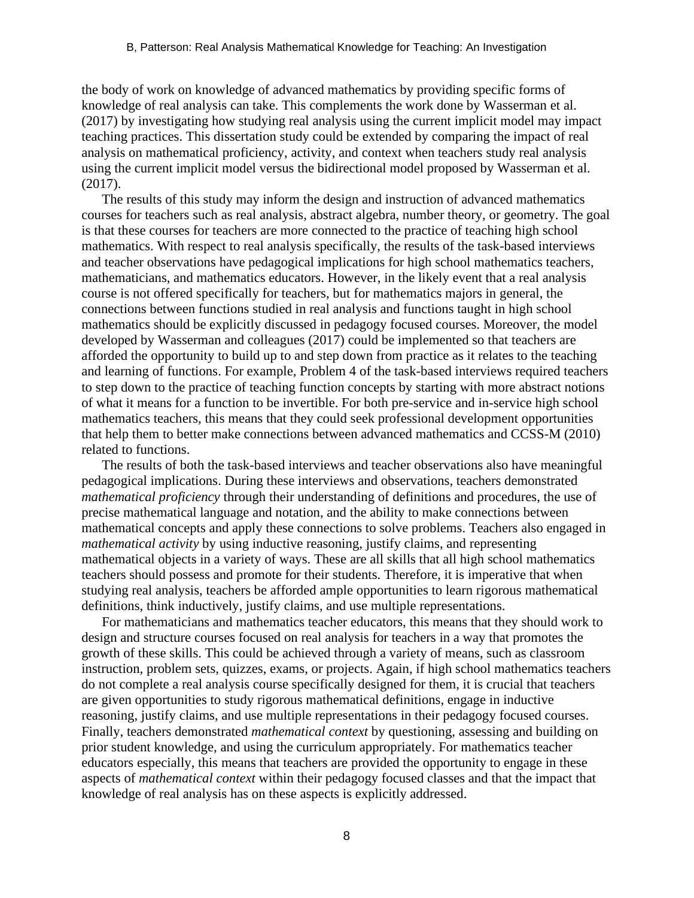the body of work on knowledge of advanced mathematics by providing specific forms of knowledge of real analysis can take. This complements the work done by Wasserman et al. (2017) by investigating how studying real analysis using the current implicit model may impact teaching practices. This dissertation study could be extended by comparing the impact of real analysis on mathematical proficiency, activity, and context when teachers study real analysis using the current implicit model versus the bidirectional model proposed by Wasserman et al. (2017).

The results of this study may inform the design and instruction of advanced mathematics courses for teachers such as real analysis, abstract algebra, number theory, or geometry. The goal is that these courses for teachers are more connected to the practice of teaching high school mathematics. With respect to real analysis specifically, the results of the task-based interviews and teacher observations have pedagogical implications for high school mathematics teachers, mathematicians, and mathematics educators. However, in the likely event that a real analysis course is not offered specifically for teachers, but for mathematics majors in general, the connections between functions studied in real analysis and functions taught in high school mathematics should be explicitly discussed in pedagogy focused courses. Moreover, the model developed by Wasserman and colleagues (2017) could be implemented so that teachers are afforded the opportunity to build up to and step down from practice as it relates to the teaching and learning of functions. For example, Problem 4 of the task-based interviews required teachers to step down to the practice of teaching function concepts by starting with more abstract notions of what it means for a function to be invertible. For both pre-service and in-service high school mathematics teachers, this means that they could seek professional development opportunities that help them to better make connections between advanced mathematics and CCSS-M (2010) related to functions.

The results of both the task-based interviews and teacher observations also have meaningful pedagogical implications. During these interviews and observations, teachers demonstrated *mathematical proficiency* through their understanding of definitions and procedures, the use of precise mathematical language and notation, and the ability to make connections between mathematical concepts and apply these connections to solve problems. Teachers also engaged in *mathematical activity* by using inductive reasoning, justify claims, and representing mathematical objects in a variety of ways. These are all skills that all high school mathematics teachers should possess and promote for their students. Therefore, it is imperative that when studying real analysis, teachers be afforded ample opportunities to learn rigorous mathematical definitions, think inductively, justify claims, and use multiple representations.

For mathematicians and mathematics teacher educators, this means that they should work to design and structure courses focused on real analysis for teachers in a way that promotes the growth of these skills. This could be achieved through a variety of means, such as classroom instruction, problem sets, quizzes, exams, or projects. Again, if high school mathematics teachers do not complete a real analysis course specifically designed for them, it is crucial that teachers are given opportunities to study rigorous mathematical definitions, engage in inductive reasoning, justify claims, and use multiple representations in their pedagogy focused courses. Finally, teachers demonstrated *mathematical context* by questioning, assessing and building on prior student knowledge, and using the curriculum appropriately. For mathematics teacher educators especially, this means that teachers are provided the opportunity to engage in these aspects of *mathematical context* within their pedagogy focused classes and that the impact that knowledge of real analysis has on these aspects is explicitly addressed.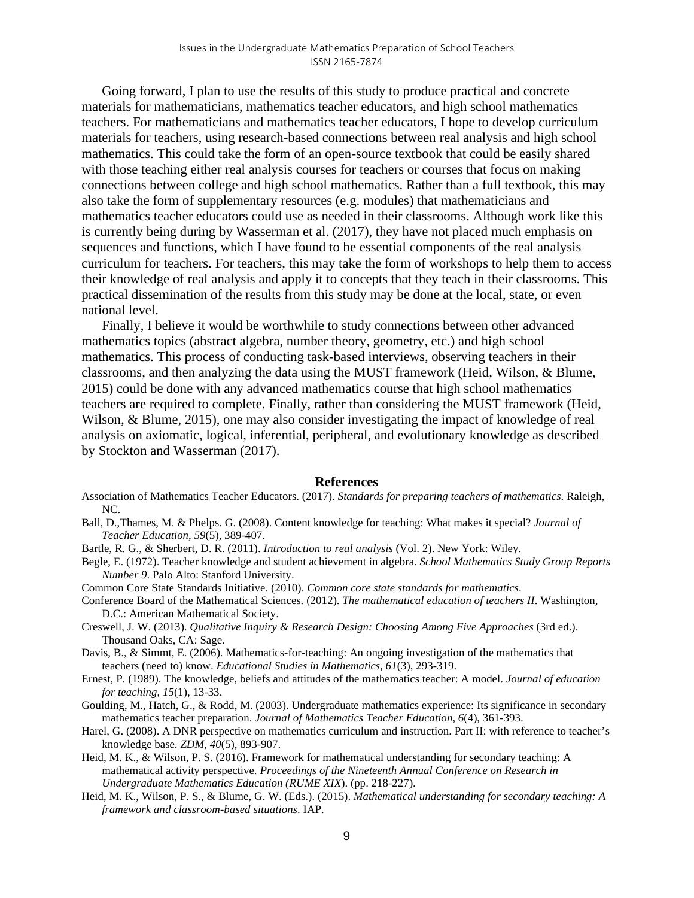Going forward, I plan to use the results of this study to produce practical and concrete materials for mathematicians, mathematics teacher educators, and high school mathematics teachers. For mathematicians and mathematics teacher educators, I hope to develop curriculum materials for teachers, using research-based connections between real analysis and high school mathematics. This could take the form of an open-source textbook that could be easily shared with those teaching either real analysis courses for teachers or courses that focus on making connections between college and high school mathematics. Rather than a full textbook, this may also take the form of supplementary resources (e.g. modules) that mathematicians and mathematics teacher educators could use as needed in their classrooms. Although work like this is currently being during by Wasserman et al. (2017), they have not placed much emphasis on sequences and functions, which I have found to be essential components of the real analysis curriculum for teachers. For teachers, this may take the form of workshops to help them to access their knowledge of real analysis and apply it to concepts that they teach in their classrooms. This practical dissemination of the results from this study may be done at the local, state, or even national level.

Finally, I believe it would be worthwhile to study connections between other advanced mathematics topics (abstract algebra, number theory, geometry, etc.) and high school mathematics. This process of conducting task-based interviews, observing teachers in their classrooms, and then analyzing the data using the MUST framework (Heid, Wilson, & Blume, 2015) could be done with any advanced mathematics course that high school mathematics teachers are required to complete. Finally, rather than considering the MUST framework (Heid, Wilson, & Blume, 2015), one may also consider investigating the impact of knowledge of real analysis on axiomatic, logical, inferential, peripheral, and evolutionary knowledge as described by Stockton and Wasserman (2017).

#### **References**

- Association of Mathematics Teacher Educators. (2017). *Standards for preparing teachers of mathematics*. Raleigh, NC.
- Ball, D.,Thames, M. & Phelps. G. (2008). Content knowledge for teaching: What makes it special? *Journal of Teacher Education, 59*(5)*,* 389-407.
- Bartle, R. G., & Sherbert, D. R. (2011). *Introduction to real analysis* (Vol. 2). New York: Wiley.
- Begle, E. (1972). Teacher knowledge and student achievement in algebra. *School Mathematics Study Group Reports Number 9*. Palo Alto: Stanford University.
- Common Core State Standards Initiative. (2010). *Common core state standards for mathematics*.
- Conference Board of the Mathematical Sciences. (2012). *The mathematical education of teachers II*. Washington, D.C.: American Mathematical Society.
- Creswell, J. W. (2013). *Qualitative Inquiry & Research Design: Choosing Among Five Approaches* (3rd ed.). Thousand Oaks, CA: Sage.
- Davis, B., & Simmt, E. (2006). Mathematics-for-teaching: An ongoing investigation of the mathematics that teachers (need to) know. *Educational Studies in Mathematics*, *61*(3), 293-319.
- Ernest, P. (1989). The knowledge, beliefs and attitudes of the mathematics teacher: A model. *Journal of education for teaching*, *15*(1), 13-33.
- Goulding, M., Hatch, G., & Rodd, M. (2003). Undergraduate mathematics experience: Its significance in secondary mathematics teacher preparation. *Journal of Mathematics Teacher Education*, *6*(4), 361-393.
- Harel, G. (2008). A DNR perspective on mathematics curriculum and instruction. Part II: with reference to teacher's knowledge base. *ZDM*, *40*(5), 893-907.
- Heid, M. K., & Wilson, P. S. (2016). Framework for mathematical understanding for secondary teaching: A mathematical activity perspective. *Proceedings of the Nineteenth Annual Conference on Research in Undergraduate Mathematics Education (RUME XIX*). (pp. 218-227).
- Heid, M. K., Wilson, P. S., & Blume, G. W. (Eds.). (2015). *Mathematical understanding for secondary teaching: A framework and classroom-based situations*. IAP.